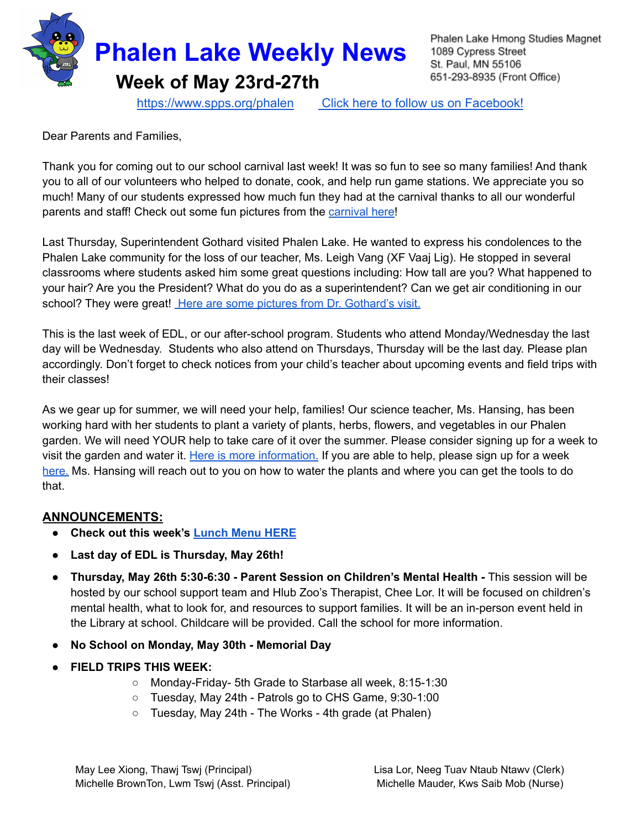

Phalen Lake Hmong Studies Magnet 1089 Cypress Street St. Paul, MN 55106 651-293-8935 (Front Office)

<https://www.spps.org/phalen> Click [here to follow us on Facebook!](https://www.facebook.com/phalenlakehmongstudies/)

Dear Parents and Families,

Thank you for coming out to our school carnival last week! It was so fun to see so many families! And thank you to all of our volunteers who helped to donate, cook, and help run game stations. We appreciate you so much! Many of our students expressed how much fun they had at the carnival thanks to all our wonderful parents and staff! Check out some fun pictures from the [carnival](https://docs.google.com/presentation/d/1YSMq7bUhRiH5KZNh1L8SArqztgaJTzLvw5r7F6oRBNo/edit?usp=sharing) here!

Last Thursday, Superintendent Gothard visited Phalen Lake. He wanted to express his condolences to the Phalen Lake community for the loss of our teacher, Ms. Leigh Vang (XF Vaaj Lig). He stopped in several classrooms where students asked him some great questions including: How tall are you? What happened to your hair? Are you the President? What do you do as a superintendent? Can we get air conditioning in our school? They were great! Here are some pictures from Dr. [Gothard's](https://docs.google.com/presentation/d/10Dv4c8W7knFiv3kKG1zAxVS5WpiKyVLAxKw9Xa08EUE/edit?usp=sharing) visit.

This is the last week of EDL, or our after-school program. Students who attend Monday/Wednesday the last day will be Wednesday. Students who also attend on Thursdays, Thursday will be the last day. Please plan accordingly. Don't forget to check notices from your child's teacher about upcoming events and field trips with their classes!

As we gear up for summer, we will need your help, families! Our science teacher, Ms. Hansing, has been working hard with her students to plant a variety of plants, herbs, flowers, and vegetables in our Phalen garden. We will need YOUR help to take care of it over the summer. Please consider signing up for a week to visit the garden and water it. Here is more [information.](https://drive.google.com/file/d/1UtrCZTObIVn75v1CEnNhb_4peV6UjR8Q/view?usp=sharing) If you are able to help, please sign up for a week [here.](https://www.signupgenius.com/go/20f044dadaf2fa7fa7-phalen1) Ms. Hansing will reach out to you on how to water the plants and where you can get the tools to do that.

## **ANNOUNCEMENTS:**

- **● Check out this week's [Lunch](https://drive.google.com/file/d/1dn1oGdM-Lhw6XPRAElMuZXdDkb1hhHXj/view?usp=sharing) Menu HERE**
- **Last day of EDL is Thursday, May 26th!**
- **● Thursday, May 26th 5:30-6:30 - Parent Session on Children's Mental Health -** This session will be hosted by our school support team and Hlub Zoo's Therapist, Chee Lor. It will be focused on children's mental health, what to look for, and resources to support families. It will be an in-person event held in the Library at school. Childcare will be provided. Call the school for more information.
- **● No School on Monday, May 30th - Memorial Day**
- **● FIELD TRIPS THIS WEEK:**
	- Monday-Friday- 5th Grade to Starbase all week, 8:15-1:30
	- Tuesday, May 24th Patrols go to CHS Game, 9:30-1:00
	- Tuesday, May 24th The Works 4th grade (at Phalen)